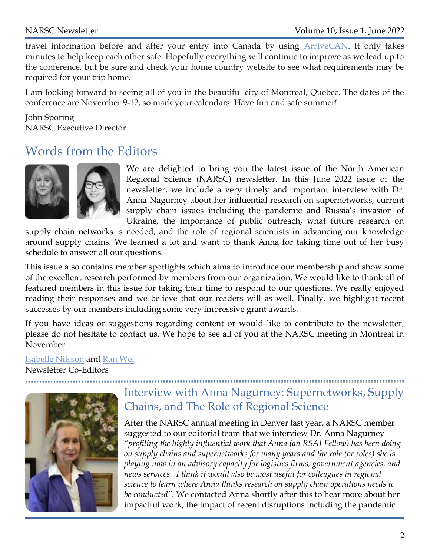travel information before and after your entry into Canada by using ArriveCAN. It only takes minutes to help keep each other safe. Hopefully everything will continue to improve as we lead up to the conference, but be sure and check your home country website to see what requirements may be required for your trip home.

I am looking forward to seeing all of you in the beautiful city of Montreal, Quebec. The dates of the conference are November 9-12, so mark your calendars. Have fun and safe summer!

John Sporing NARSC Executive Director

## Words from the Editors



We are delighted to bring you the latest issue of the North American Regional Science (NARSC) newsletter. In this June 2022 issue of the newsletter, we include a very timely and important interview with Dr. Anna Nagurney about her influential research on supernetworks, current supply chain issues including the pandemic and Russia's invasion of Ukraine, the importance of public outreach, what future research on

supply chain networks is needed, and the role of regional scientists in advancing our knowledge around supply chains. We learned a lot and want to thank Anna for taking time out of her busy schedule to answer all our questions.

This issue also contains member spotlights which aims to introduce our membership and show some of the excellent research performed by members from our organization. We would like to thank all of featured members in this issue for taking their time to respond to our questions. We really enjoyed reading their responses and we believe that our readers will as well. Finally, we highlight recent successes by our members including some very impressive grant awards.

If you have ideas or suggestions regarding content or would like to contribute to the newsletter, please do not hesitate to contact us. We hope to see all of you at the NARSC meeting in Montreal in November.

### Isabelle Nilsson and Ran Wei Newsletter Co-Editors



# Interview with Anna Nagurney: Supernetworks, Supply Chains, and The Role of Regional Science

After the NARSC annual meeting in Denver last year, a NARSC member suggested to our editorial team that we interview Dr. Anna Nagurney "profiling the highly influential work that Anna (an RSAI Fellow) has been doing on supply chains and supernetworks for many years and the role (or roles) she is playing now in an advisory capacity for logistics firms, government agencies, and news services. I think it would also be most useful for colleagues in regional science to learn where Anna thinks research on supply chain operations needs to be conducted". We contacted Anna shortly after this to hear more about her impactful work, the impact of recent disruptions including the pandemic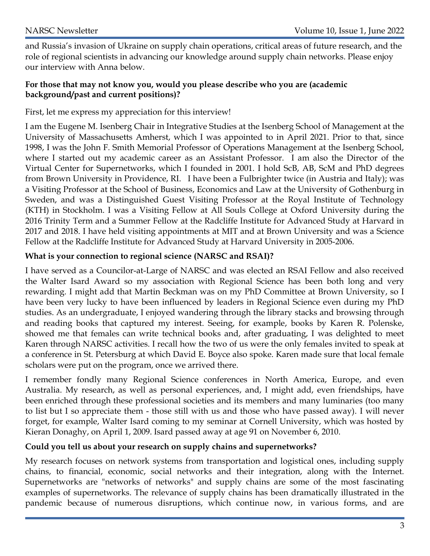and Russia's invasion of Ukraine on supply chain operations, critical areas of future research, and the role of regional scientists in advancing our knowledge around supply chain networks. Please enjoy our interview with Anna below.

#### For those that may not know you, would you please describe who you are (academic background/past and current positions)?

First, let me express my appreciation for this interview!

I am the Eugene M. Isenberg Chair in Integrative Studies at the Isenberg School of Management at the University of Massachusetts Amherst, which I was appointed to in April 2021. Prior to that, since 1998, I was the John F. Smith Memorial Professor of Operations Management at the Isenberg School, where I started out my academic career as an Assistant Professor. I am also the Director of the Virtual Center for Supernetworks, which I founded in 2001. I hold ScB, AB, ScM and PhD degrees from Brown University in Providence, RI. I have been a Fulbrighter twice (in Austria and Italy); was a Visiting Professor at the School of Business, Economics and Law at the University of Gothenburg in Sweden, and was a Distinguished Guest Visiting Professor at the Royal Institute of Technology (KTH) in Stockholm. I was a Visiting Fellow at All Souls College at Oxford University during the 2016 Trinity Term and a Summer Fellow at the Radcliffe Institute for Advanced Study at Harvard in 2017 and 2018. I have held visiting appointments at MIT and at Brown University and was a Science Fellow at the Radcliffe Institute for Advanced Study at Harvard University in 2005-2006.

#### What is your connection to regional science (NARSC and RSAI)?

I have served as a Councilor-at-Large of NARSC and was elected an RSAI Fellow and also received the Walter Isard Award so my association with Regional Science has been both long and very rewarding. I might add that Martin Beckman was on my PhD Committee at Brown University, so I have been very lucky to have been influenced by leaders in Regional Science even during my PhD studies. As an undergraduate, I enjoyed wandering through the library stacks and browsing through and reading books that captured my interest. Seeing, for example, books by Karen R. Polenske, showed me that females can write technical books and, after graduating, I was delighted to meet Karen through NARSC activities. I recall how the two of us were the only females invited to speak at a conference in St. Petersburg at which David E. Boyce also spoke. Karen made sure that local female scholars were put on the program, once we arrived there.

I remember fondly many Regional Science conferences in North America, Europe, and even Australia. My research, as well as personal experiences, and, I might add, even friendships, have been enriched through these professional societies and its members and many luminaries (too many to list but I so appreciate them - those still with us and those who have passed away). I will never forget, for example, Walter Isard coming to my seminar at Cornell University, which was hosted by Kieran Donaghy, on April 1, 2009. Isard passed away at age 91 on November 6, 2010.

#### Could you tell us about your research on supply chains and supernetworks?

My research focuses on network systems from transportation and logistical ones, including supply chains, to financial, economic, social networks and their integration, along with the Internet. Supernetworks are "networks of networks" and supply chains are some of the most fascinating examples of supernetworks. The relevance of supply chains has been dramatically illustrated in the pandemic because of numerous disruptions, which continue now, in various forms, and are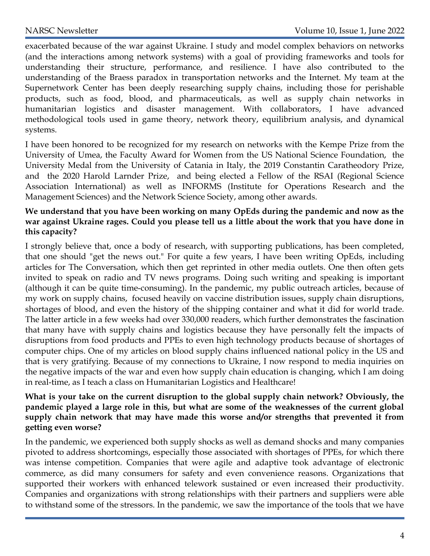exacerbated because of the war against Ukraine. I study and model complex behaviors on networks (and the interactions among network systems) with a goal of providing frameworks and tools for understanding their structure, performance, and resilience. I have also contributed to the understanding of the Braess paradox in transportation networks and the Internet. My team at the Supernetwork Center has been deeply researching supply chains, including those for perishable products, such as food, blood, and pharmaceuticals, as well as supply chain networks in humanitarian logistics and disaster management. With collaborators, I have advanced methodological tools used in game theory, network theory, equilibrium analysis, and dynamical systems.

I have been honored to be recognized for my research on networks with the Kempe Prize from the University of Umea, the Faculty Award for Women from the US National Science Foundation, the University Medal from the University of Catania in Italy, the 2019 Constantin Caratheodory Prize, and the 2020 Harold Larnder Prize, and being elected a Fellow of the RSAI (Regional Science Association International) as well as INFORMS (Institute for Operations Research and the Management Sciences) and the Network Science Society, among other awards.

#### We understand that you have been working on many OpEds during the pandemic and now as the war against Ukraine rages. Could you please tell us a little about the work that you have done in this capacity?

I strongly believe that, once a body of research, with supporting publications, has been completed, that one should "get the news out." For quite a few years, I have been writing OpEds, including articles for The Conversation, which then get reprinted in other media outlets. One then often gets invited to speak on radio and TV news programs. Doing such writing and speaking is important (although it can be quite time-consuming). In the pandemic, my public outreach articles, because of my work on supply chains, focused heavily on vaccine distribution issues, supply chain disruptions, shortages of blood, and even the history of the shipping container and what it did for world trade. The latter article in a few weeks had over 330,000 readers, which further demonstrates the fascination that many have with supply chains and logistics because they have personally felt the impacts of disruptions from food products and PPEs to even high technology products because of shortages of computer chips. One of my articles on blood supply chains influenced national policy in the US and that is very gratifying. Because of my connections to Ukraine, I now respond to media inquiries on the negative impacts of the war and even how supply chain education is changing, which I am doing in real-time, as I teach a class on Humanitarian Logistics and Healthcare!

#### What is your take on the current disruption to the global supply chain network? Obviously, the pandemic played a large role in this, but what are some of the weaknesses of the current global supply chain network that may have made this worse and/or strengths that prevented it from getting even worse?

In the pandemic, we experienced both supply shocks as well as demand shocks and many companies pivoted to address shortcomings, especially those associated with shortages of PPEs, for which there was intense competition. Companies that were agile and adaptive took advantage of electronic commerce, as did many consumers for safety and even convenience reasons. Organizations that supported their workers with enhanced telework sustained or even increased their productivity. Companies and organizations with strong relationships with their partners and suppliers were able to withstand some of the stressors. In the pandemic, we saw the importance of the tools that we have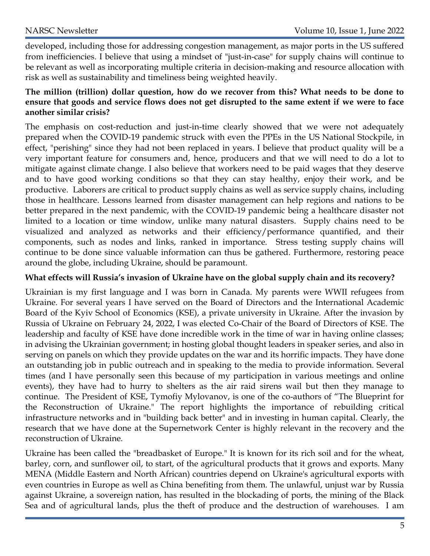developed, including those for addressing congestion management, as major ports in the US suffered from inefficiencies. I believe that using a mindset of "just-in-case" for supply chains will continue to be relevant as well as incorporating multiple criteria in decision-making and resource allocation with risk as well as sustainability and timeliness being weighted heavily.

#### The million (trillion) dollar question, how do we recover from this? What needs to be done to ensure that goods and service flows does not get disrupted to the same extent if we were to face another similar crisis?

The emphasis on cost-reduction and just-in-time clearly showed that we were not adequately prepared when the COVID-19 pandemic struck with even the PPEs in the US National Stockpile, in effect, "perishing" since they had not been replaced in years. I believe that product quality will be a very important feature for consumers and, hence, producers and that we will need to do a lot to mitigate against climate change. I also believe that workers need to be paid wages that they deserve and to have good working conditions so that they can stay healthy, enjoy their work, and be productive. Laborers are critical to product supply chains as well as service supply chains, including those in healthcare. Lessons learned from disaster management can help regions and nations to be better prepared in the next pandemic, with the COVID-19 pandemic being a healthcare disaster not limited to a location or time window, unlike many natural disasters. Supply chains need to be visualized and analyzed as networks and their efficiency/performance quantified, and their components, such as nodes and links, ranked in importance. Stress testing supply chains will continue to be done since valuable information can thus be gathered. Furthermore, restoring peace around the globe, including Ukraine, should be paramount.

#### What effects will Russia's invasion of Ukraine have on the global supply chain and its recovery?

Ukrainian is my first language and I was born in Canada. My parents were WWII refugees from Ukraine. For several years I have served on the Board of Directors and the International Academic Board of the Kyiv School of Economics (KSE), a private university in Ukraine. After the invasion by Russia of Ukraine on February 24, 2022, I was elected Co-Chair of the Board of Directors of KSE. The leadership and faculty of KSE have done incredible work in the time of war in having online classes; in advising the Ukrainian government; in hosting global thought leaders in speaker series, and also in serving on panels on which they provide updates on the war and its horrific impacts. They have done an outstanding job in public outreach and in speaking to the media to provide information. Several times (and I have personally seen this because of my participation in various meetings and online events), they have had to hurry to shelters as the air raid sirens wail but then they manage to continue. The President of KSE, Tymofiy Mylovanov, is one of the co-authors of "The Blueprint for the Reconstruction of Ukraine." The report highlights the importance of rebuilding critical infrastructure networks and in "building back better" and in investing in human capital. Clearly, the research that we have done at the Supernetwork Center is highly relevant in the recovery and the reconstruction of Ukraine.

Ukraine has been called the "breadbasket of Europe." It is known for its rich soil and for the wheat, barley, corn, and sunflower oil, to start, of the agricultural products that it grows and exports. Many MENA (Middle Eastern and North African) countries depend on Ukraine's agricultural exports with even countries in Europe as well as China benefiting from them. The unlawful, unjust war by Russia against Ukraine, a sovereign nation, has resulted in the blockading of ports, the mining of the Black Sea and of agricultural lands, plus the theft of produce and the destruction of warehouses. I am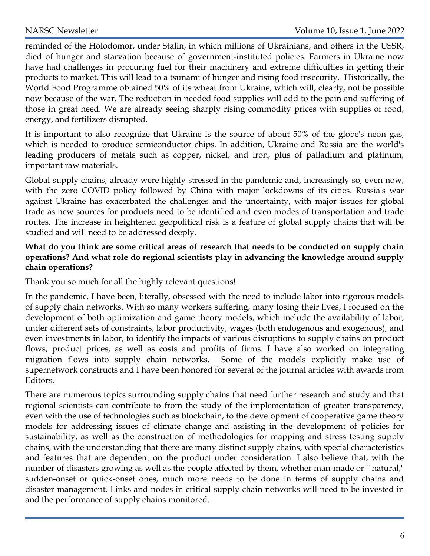reminded of the Holodomor, under Stalin, in which millions of Ukrainians, and others in the USSR, died of hunger and starvation because of government-instituted policies. Farmers in Ukraine now have had challenges in procuring fuel for their machinery and extreme difficulties in getting their products to market. This will lead to a tsunami of hunger and rising food insecurity. Historically, the World Food Programme obtained 50% of its wheat from Ukraine, which will, clearly, not be possible now because of the war. The reduction in needed food supplies will add to the pain and suffering of those in great need. We are already seeing sharply rising commodity prices with supplies of food, energy, and fertilizers disrupted.

It is important to also recognize that Ukraine is the source of about 50% of the globe's neon gas, which is needed to produce semiconductor chips. In addition, Ukraine and Russia are the world's leading producers of metals such as copper, nickel, and iron, plus of palladium and platinum, important raw materials.

Global supply chains, already were highly stressed in the pandemic and, increasingly so, even now, with the zero COVID policy followed by China with major lockdowns of its cities. Russia's war against Ukraine has exacerbated the challenges and the uncertainty, with major issues for global trade as new sources for products need to be identified and even modes of transportation and trade routes. The increase in heightened geopolitical risk is a feature of global supply chains that will be studied and will need to be addressed deeply.

#### What do you think are some critical areas of research that needs to be conducted on supply chain operations? And what role do regional scientists play in advancing the knowledge around supply chain operations?

Thank you so much for all the highly relevant questions!

In the pandemic, I have been, literally, obsessed with the need to include labor into rigorous models of supply chain networks. With so many workers suffering, many losing their lives, I focused on the development of both optimization and game theory models, which include the availability of labor, under different sets of constraints, labor productivity, wages (both endogenous and exogenous), and even investments in labor, to identify the impacts of various disruptions to supply chains on product flows, product prices, as well as costs and profits of firms. I have also worked on integrating migration flows into supply chain networks. Some of the models explicitly make use of supernetwork constructs and I have been honored for several of the journal articles with awards from Editors.

There are numerous topics surrounding supply chains that need further research and study and that regional scientists can contribute to from the study of the implementation of greater transparency, even with the use of technologies such as blockchain, to the development of cooperative game theory models for addressing issues of climate change and assisting in the development of policies for sustainability, as well as the construction of methodologies for mapping and stress testing supply chains, with the understanding that there are many distinct supply chains, with special characteristics and features that are dependent on the product under consideration. I also believe that, with the number of disasters growing as well as the people affected by them, whether man-made or ``natural," sudden-onset or quick-onset ones, much more needs to be done in terms of supply chains and disaster management. Links and nodes in critical supply chain networks will need to be invested in and the performance of supply chains monitored.